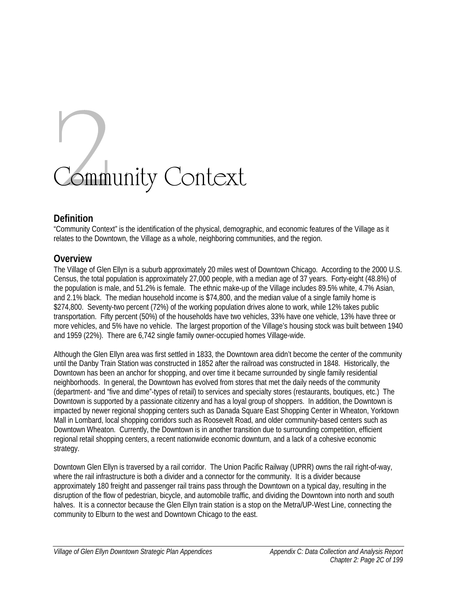# Community Context

# **Definition**

"Community Context" is the identification of the physical, demographic, and economic features of the Village as it relates to the Downtown, the Village as a whole, neighboring communities, and the region.

# **Overview**

The Village of Glen Ellyn is a suburb approximately 20 miles west of Downtown Chicago. According to the 2000 U.S. Census, the total population is approximately 27,000 people, with a median age of 37 years. Forty-eight (48.8%) of the population is male, and 51.2% is female. The ethnic make-up of the Village includes 89.5% white, 4.7% Asian, and 2.1% black. The median household income is \$74,800, and the median value of a single family home is \$274,800. Seventy-two percent (72%) of the working population drives alone to work, while 12% takes public transportation. Fifty percent (50%) of the households have two vehicles, 33% have one vehicle, 13% have three or more vehicles, and 5% have no vehicle. The largest proportion of the Village's housing stock was built between 1940 and 1959 (22%). There are 6,742 single family owner-occupied homes Village-wide.

Although the Glen Ellyn area was first settled in 1833, the Downtown area didn't become the center of the community until the Danby Train Station was constructed in 1852 after the railroad was constructed in 1848. Historically, the Downtown has been an anchor for shopping, and over time it became surrounded by single family residential neighborhoods. In general, the Downtown has evolved from stores that met the daily needs of the community (department- and "five and dime"-types of retail) to services and specialty stores (restaurants, boutiques, etc.) The Downtown is supported by a passionate citizenry and has a loyal group of shoppers. In addition, the Downtown is impacted by newer regional shopping centers such as Danada Square East Shopping Center in Wheaton, Yorktown Mall in Lombard, local shopping corridors such as Roosevelt Road, and older community-based centers such as Downtown Wheaton. Currently, the Downtown is in another transition due to surrounding competition, efficient regional retail shopping centers, a recent nationwide economic downturn, and a lack of a cohesive economic strategy.

Downtown Glen Ellyn is traversed by a rail corridor. The Union Pacific Railway (UPRR) owns the rail right-of-way, where the rail infrastructure is both a divider and a connector for the community. It is a divider because approximately 180 freight and passenger rail trains pass through the Downtown on a typical day, resulting in the disruption of the flow of pedestrian, bicycle, and automobile traffic, and dividing the Downtown into north and south halves. It is a connector because the Glen Ellyn train station is a stop on the Metra/UP-West Line, connecting the community to Elburn to the west and Downtown Chicago to the east.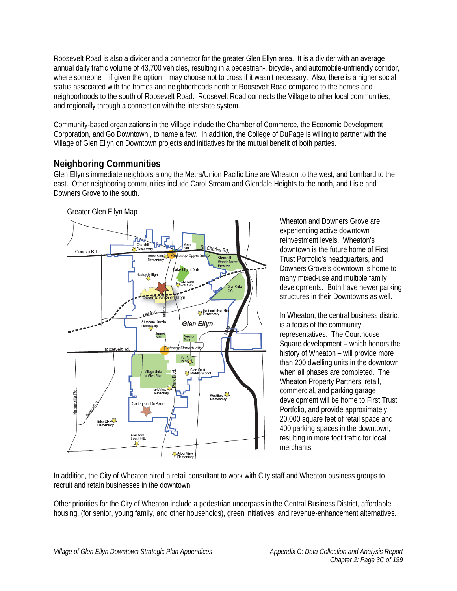Roosevelt Road is also a divider and a connector for the greater Glen Ellyn area. It is a divider with an average annual daily traffic volume of 43,700 vehicles, resulting in a pedestrian-, bicycle-, and automobile-unfriendly corridor, where someone – if given the option – may choose not to cross if it wasn't necessary. Also, there is a higher social status associated with the homes and neighborhoods north of Roosevelt Road compared to the homes and neighborhoods to the south of Roosevelt Road. Roosevelt Road connects the Village to other local communities, and regionally through a connection with the interstate system.

Community-based organizations in the Village include the Chamber of Commerce, the Economic Development Corporation, and Go Downtown!, to name a few. In addition, the College of DuPage is willing to partner with the Village of Glen Ellyn on Downtown projects and initiatives for the mutual benefit of both parties.

# **Neighboring Communities**

Glen Ellyn's immediate neighbors along the Metra/Union Pacific Line are Wheaton to the west, and Lombard to the east. Other neighboring communities include Carol Stream and Glendale Heights to the north, and Lisle and Downers Grove to the south.



Wheaton and Downers Grove are experiencing active downtown reinvestment levels. Wheaton's downtown is the future home of First Trust Portfolio's headquarters, and Downers Grove's downtown is home to many mixed-use and multiple family developments. Both have newer parking structures in their Downtowns as well.

In Wheaton, the central business district is a focus of the community representatives. The Courthouse Square development – which honors the history of Wheaton – will provide more than 200 dwelling units in the downtown when all phases are completed. The Wheaton Property Partners' retail, commercial, and parking garage development will be home to First Trust Portfolio, and provide approximately 20,000 square feet of retail space and 400 parking spaces in the downtown, resulting in more foot traffic for local merchants.

In addition, the City of Wheaton hired a retail consultant to work with City staff and Wheaton business groups to recruit and retain businesses in the downtown.

Other priorities for the City of Wheaton include a pedestrian underpass in the Central Business District, affordable housing, (for senior, young family, and other households), green initiatives, and revenue-enhancement alternatives.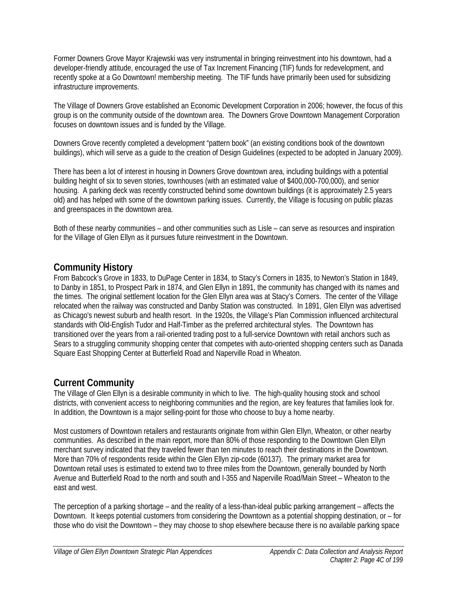Former Downers Grove Mayor Krajewski was very instrumental in bringing reinvestment into his downtown, had a developer-friendly attitude, encouraged the use of Tax Increment Financing (TIF) funds for redevelopment, and recently spoke at a Go Downtown! membership meeting. The TIF funds have primarily been used for subsidizing infrastructure improvements.

The Village of Downers Grove established an Economic Development Corporation in 2006; however, the focus of this group is on the community outside of the downtown area. The Downers Grove Downtown Management Corporation focuses on downtown issues and is funded by the Village.

Downers Grove recently completed a development "pattern book" (an existing conditions book of the downtown buildings), which will serve as a guide to the creation of Design Guidelines (expected to be adopted in January 2009).

There has been a lot of interest in housing in Downers Grove downtown area, including buildings with a potential building height of six to seven stories, townhouses (with an estimated value of \$400,000-700,000), and senior housing. A parking deck was recently constructed behind some downtown buildings (it is approximately 2.5 years old) and has helped with some of the downtown parking issues. Currently, the Village is focusing on public plazas and greenspaces in the downtown area.

Both of these nearby communities – and other communities such as Lisle – can serve as resources and inspiration for the Village of Glen Ellyn as it pursues future reinvestment in the Downtown.

# **Community History**

From Babcock's Grove in 1833, to DuPage Center in 1834, to Stacy's Corners in 1835, to Newton's Station in 1849, to Danby in 1851, to Prospect Park in 1874, and Glen Ellyn in 1891, the community has changed with its names and the times. The original settlement location for the Glen Ellyn area was at Stacy's Corners. The center of the Village relocated when the railway was constructed and Danby Station was constructed. In 1891, Glen Ellyn was advertised as Chicago's newest suburb and health resort. In the 1920s, the Village's Plan Commission influenced architectural standards with Old-English Tudor and Half-Timber as the preferred architectural styles. The Downtown has transitioned over the years from a rail-oriented trading post to a full-service Downtown with retail anchors such as Sears to a struggling community shopping center that competes with auto-oriented shopping centers such as Danada Square East Shopping Center at Butterfield Road and Naperville Road in Wheaton.

# **Current Community**

The Village of Glen Ellyn is a desirable community in which to live. The high-quality housing stock and school districts, with convenient access to neighboring communities and the region, are key features that families look for. In addition, the Downtown is a major selling-point for those who choose to buy a home nearby.

Most customers of Downtown retailers and restaurants originate from within Glen Ellyn, Wheaton, or other nearby communities. As described in the main report, more than 80% of those responding to the Downtown Glen Ellyn merchant survey indicated that they traveled fewer than ten minutes to reach their destinations in the Downtown. More than 70% of respondents reside within the Glen Ellyn zip-code (60137). The primary market area for Downtown retail uses is estimated to extend two to three miles from the Downtown, generally bounded by North Avenue and Butterfield Road to the north and south and I-355 and Naperville Road/Main Street – Wheaton to the east and west.

The perception of a parking shortage – and the reality of a less-than-ideal public parking arrangement – affects the Downtown. It keeps potential customers from considering the Downtown as a potential shopping destination, or – for those who do visit the Downtown – they may choose to shop elsewhere because there is no available parking space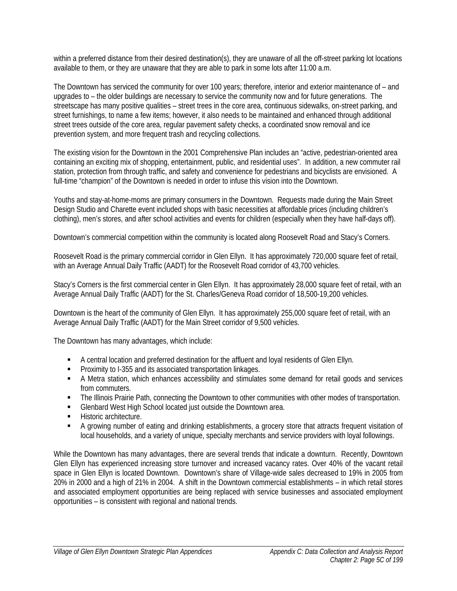within a preferred distance from their desired destination(s), they are unaware of all the off-street parking lot locations available to them, or they are unaware that they are able to park in some lots after 11:00 a.m.

The Downtown has serviced the community for over 100 years; therefore, interior and exterior maintenance of – and upgrades to – the older buildings are necessary to service the community now and for future generations. The streetscape has many positive qualities – street trees in the core area, continuous sidewalks, on-street parking, and street furnishings, to name a few items; however, it also needs to be maintained and enhanced through additional street trees outside of the core area, regular pavement safety checks, a coordinated snow removal and ice prevention system, and more frequent trash and recycling collections.

The existing vision for the Downtown in the 2001 Comprehensive Plan includes an "active, pedestrian-oriented area containing an exciting mix of shopping, entertainment, public, and residential uses". In addition, a new commuter rail station, protection from through traffic, and safety and convenience for pedestrians and bicyclists are envisioned. A full-time "champion" of the Downtown is needed in order to infuse this vision into the Downtown.

Youths and stay-at-home-moms are primary consumers in the Downtown. Requests made during the Main Street Design Studio and Charette event included shops with basic necessities at affordable prices (including children's clothing), men's stores, and after school activities and events for children (especially when they have half-days off).

Downtown's commercial competition within the community is located along Roosevelt Road and Stacy's Corners.

Roosevelt Road is the primary commercial corridor in Glen Ellyn. It has approximately 720,000 square feet of retail, with an Average Annual Daily Traffic (AADT) for the Roosevelt Road corridor of 43,700 vehicles.

Stacy's Corners is the first commercial center in Glen Ellyn. It has approximately 28,000 square feet of retail, with an Average Annual Daily Traffic (AADT) for the St. Charles/Geneva Road corridor of 18,500-19,200 vehicles.

Downtown is the heart of the community of Glen Ellyn. It has approximately 255,000 square feet of retail, with an Average Annual Daily Traffic (AADT) for the Main Street corridor of 9,500 vehicles.

The Downtown has many advantages, which include:

- A central location and preferred destination for the affluent and loyal residents of Glen Ellyn.
- **Proximity to I-355 and its associated transportation linkages.**
- A Metra station, which enhances accessibility and stimulates some demand for retail goods and services from commuters.
- The Illinois Prairie Path, connecting the Downtown to other communities with other modes of transportation.
- Glenbard West High School located just outside the Downtown area.
- **Historic architecture.**
- A growing number of eating and drinking establishments, a grocery store that attracts frequent visitation of local households, and a variety of unique, specialty merchants and service providers with loyal followings.

While the Downtown has many advantages, there are several trends that indicate a downturn. Recently, Downtown Glen Ellyn has experienced increasing store turnover and increased vacancy rates. Over 40% of the vacant retail space in Glen Ellyn is located Downtown. Downtown's share of Village-wide sales decreased to 19% in 2005 from 20% in 2000 and a high of 21% in 2004. A shift in the Downtown commercial establishments – in which retail stores and associated employment opportunities are being replaced with service businesses and associated employment opportunities – is consistent with regional and national trends.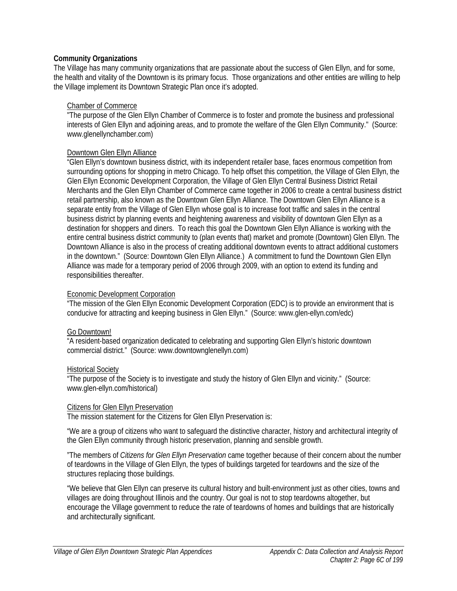#### **Community Organizations**

The Village has many community organizations that are passionate about the success of Glen Ellyn, and for some, the health and vitality of the Downtown is its primary focus. Those organizations and other entities are willing to help the Village implement its Downtown Strategic Plan once it's adopted.

#### Chamber of Commerce

"The purpose of the Glen Ellyn Chamber of Commerce is to foster and promote the business and professional interests of Glen Ellyn and adjoining areas, and to promote the welfare of the Glen Ellyn Community." (Source: www.glenellynchamber.com)

#### Downtown Glen Ellyn Alliance

"Glen Ellyn's downtown business district, with its independent retailer base, faces enormous competition from surrounding options for shopping in metro Chicago. To help offset this competition, the Village of Glen Ellyn, the Glen Ellyn Economic Development Corporation, the Village of Glen Ellyn Central Business District Retail Merchants and the Glen Ellyn Chamber of Commerce came together in 2006 to create a central business district retail partnership, also known as the Downtown Glen Ellyn Alliance. The Downtown Glen Ellyn Alliance is a separate entity from the Village of Glen Ellyn whose goal is to increase foot traffic and sales in the central business district by planning events and heightening awareness and visibility of downtown Glen Ellyn as a destination for shoppers and diners. To reach this goal the Downtown Glen Ellyn Alliance is working with the entire central business district community to (plan events that) market and promote (Downtown) Glen Ellyn. The Downtown Alliance is also in the process of creating additional downtown events to attract additional customers in the downtown." (Source: Downtown Glen Ellyn Alliance.) A commitment to fund the Downtown Glen Ellyn Alliance was made for a temporary period of 2006 through 2009, with an option to extend its funding and responsibilities thereafter.

## Economic Development Corporation

"The mission of the Glen Ellyn Economic Development Corporation (EDC) is to provide an environment that is conducive for attracting and keeping business in Glen Ellyn." (Source: www.glen-ellyn.com/edc)

# Go Downtown!

"A resident-based organization dedicated to celebrating and supporting Glen Ellyn's historic downtown commercial district." (Source: www.downtownglenellyn.com)

#### Historical Society

"The purpose of the Society is to investigate and study the history of Glen Ellyn and vicinity." (Source: www.glen-ellyn.com/historical)

# Citizens for Glen Ellyn Preservation

The mission statement for the Citizens for Glen Ellyn Preservation is:

"We are a group of citizens who want to safeguard the distinctive character, history and architectural integrity of the Glen Ellyn community through historic preservation, planning and sensible growth.

"The members of *Citizens for Glen Ellyn Preservation* came together because of their concern about the number of teardowns in the Village of Glen Ellyn, the types of buildings targeted for teardowns and the size of the structures replacing those buildings.

"We believe that Glen Ellyn can preserve its cultural history and built-environment just as other cities, towns and villages are doing throughout Illinois and the country. Our goal is not to stop teardowns altogether, but encourage the Village government to reduce the rate of teardowns of homes and buildings that are historically and architecturally significant.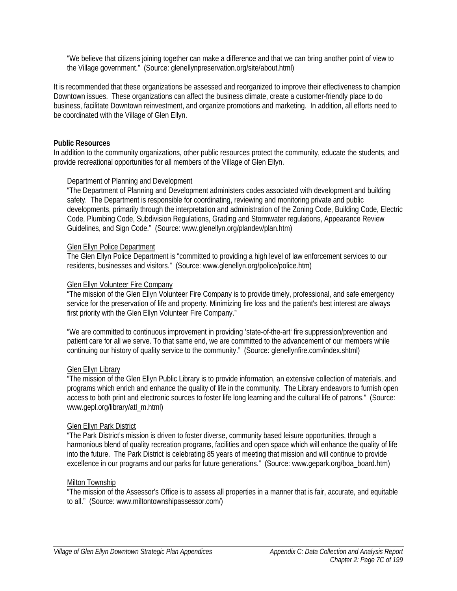"We believe that citizens joining together can make a difference and that we can bring another point of view to the Village government." (Source: glenellynpreservation.org/site/about.html)

It is recommended that these organizations be assessed and reorganized to improve their effectiveness to champion Downtown issues. These organizations can affect the business climate, create a customer-friendly place to do business, facilitate Downtown reinvestment, and organize promotions and marketing. In addition, all efforts need to be coordinated with the Village of Glen Ellyn.

#### **Public Resources**

In addition to the community organizations, other public resources protect the community, educate the students, and provide recreational opportunities for all members of the Village of Glen Ellyn.

#### Department of Planning and Development

"The Department of Planning and Development administers codes associated with development and building safety. The Department is responsible for coordinating, reviewing and monitoring private and public developments, primarily through the interpretation and administration of the Zoning Code, Building Code, Electric Code, Plumbing Code, Subdivision Regulations, Grading and Stormwater regulations, Appearance Review Guidelines, and Sign Code." (Source: www.glenellyn.org/plandev/plan.htm)

#### Glen Ellyn Police Department

The Glen Ellyn Police Department is "committed to providing a high level of law enforcement services to our residents, businesses and visitors." (Source: www.glenellyn.org/police/police.htm)

#### Glen Ellyn Volunteer Fire Company

"The mission of the Glen Ellyn Volunteer Fire Company is to provide timely, professional, and safe emergency service for the preservation of life and property. Minimizing fire loss and the patient's best interest are always first priority with the Glen Ellyn Volunteer Fire Company."

"We are committed to continuous improvement in providing 'state-of-the-art' fire suppression/prevention and patient care for all we serve. To that same end, we are committed to the advancement of our members while continuing our history of quality service to the community." (Source: glenellynfire.com/index.shtml)

#### Glen Ellyn Library

"The mission of the Glen Ellyn Public Library is to provide information, an extensive collection of materials, and programs which enrich and enhance the quality of life in the community. The Library endeavors to furnish open access to both print and electronic sources to foster life long learning and the cultural life of patrons." (Source: www.gepl.org/library/atl\_m.html)

#### Glen Ellyn Park District

"The Park District's mission is driven to foster diverse, community based leisure opportunities, through a harmonious blend of quality recreation programs, facilities and open space which will enhance the quality of life into the future. The Park District is celebrating 85 years of meeting that mission and will continue to provide excellence in our programs and our parks for future generations." (Source: www.gepark.org/boa\_board.htm)

# Milton Township

"The mission of the Assessor's Office is to assess all properties in a manner that is fair, accurate, and equitable to all." (Source: www.miltontownshipassessor.com/)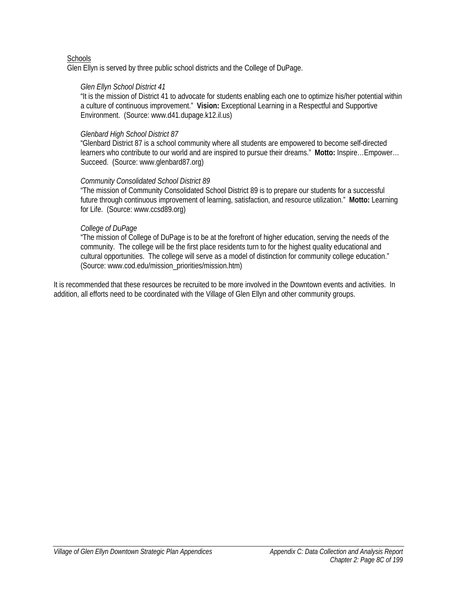## **Schools**

Glen Ellyn is served by three public school districts and the College of DuPage.

#### *Glen Ellyn School District 41*

"It is the mission of District 41 to advocate for students enabling each one to optimize his/her potential within a culture of continuous improvement." **Vision:** Exceptional Learning in a Respectful and Supportive Environment. (Source: www.d41.dupage.k12.il.us)

## *Glenbard High School District 87*

"Glenbard District 87 is a school community where all students are empowered to become self-directed learners who contribute to our world and are inspired to pursue their dreams." **Motto:** Inspire…Empower… Succeed. (Source: www.glenbard87.org)

#### *Community Consolidated School District 89*

"The mission of Community Consolidated School District 89 is to prepare our students for a successful future through continuous improvement of learning, satisfaction, and resource utilization." **Motto:** Learning for Life. (Source: www.ccsd89.org)

#### *College of DuPage*

"The mission of College of DuPage is to be at the forefront of higher education, serving the needs of the community. The college will be the first place residents turn to for the highest quality educational and cultural opportunities. The college will serve as a model of distinction for community college education." (Source: www.cod.edu/mission\_priorities/mission.htm)

It is recommended that these resources be recruited to be more involved in the Downtown events and activities. In addition, all efforts need to be coordinated with the Village of Glen Ellyn and other community groups.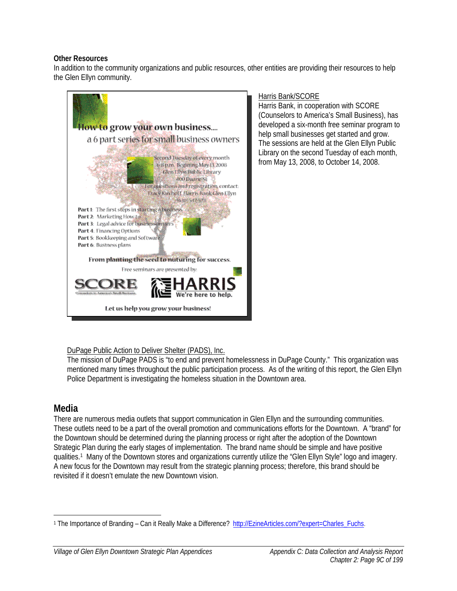#### **Other Resources**

In addition to the community organizations and public resources, other entities are providing their resources to help the Glen Ellyn community.



## Harris Bank/SCORE

Harris Bank, in cooperation with SCORE (Counselors to America's Small Business), has developed a six-month free seminar program to help small businesses get started and grow. The sessions are held at the Glen Ellyn Public Library on the second Tuesday of each month, from May 13, 2008, to October 14, 2008.

# DuPage Public Action to Deliver Shelter (PADS), Inc.

The mission of DuPage PADS is "to end and prevent homelessness in DuPage County." This organization was mentioned many times throughout the public participation process. As of the writing of this report, the Glen Ellyn Police Department is investigating the homeless situation in the Downtown area.

# **Media**

There are numerous media outlets that support communication in Glen Ellyn and the surrounding communities. These outlets need to be a part of the overall promotion and communications efforts for the Downtown. A "brand" for the Downtown should be determined during the planning process or right after the adoption of the Downtown Strategic Plan during the early stages of implementation. The brand name should be simple and have positive qualities.1 Many of the Downtown stores and organizations currently utilize the "Glen Ellyn Style" logo and imagery. A new focus for the Downtown may result from the strategic planning process; therefore, this brand should be revisited if it doesn't emulate the new Downtown vision.

 $\overline{a}$ 1 The Importance of Branding – Can it Really Make a Difference? http://EzineArticles.com/?expert=Charles\_Fuchs.